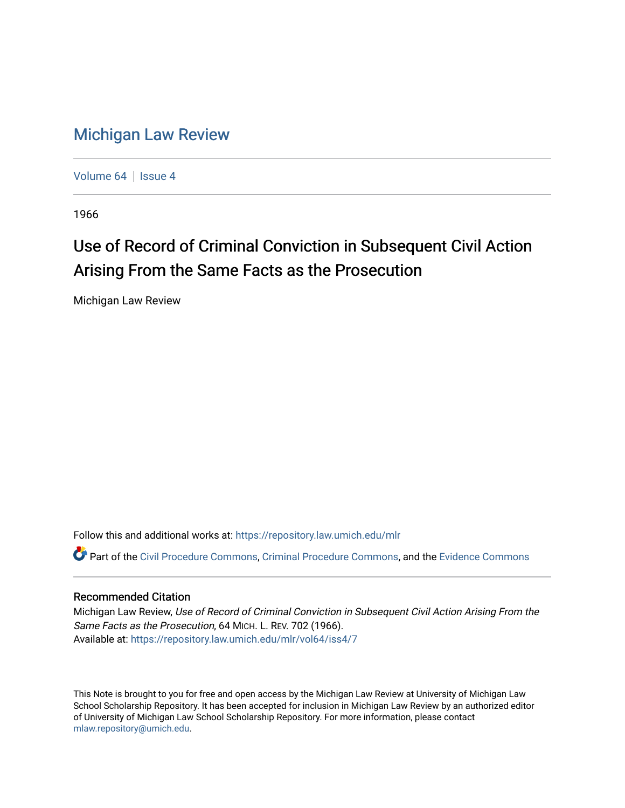## [Michigan Law Review](https://repository.law.umich.edu/mlr)

[Volume 64](https://repository.law.umich.edu/mlr/vol64) | [Issue 4](https://repository.law.umich.edu/mlr/vol64/iss4)

1966

# Use of Record of Criminal Conviction in Subsequent Civil Action Arising From the Same Facts as the Prosecution

Michigan Law Review

Follow this and additional works at: [https://repository.law.umich.edu/mlr](https://repository.law.umich.edu/mlr?utm_source=repository.law.umich.edu%2Fmlr%2Fvol64%2Fiss4%2F7&utm_medium=PDF&utm_campaign=PDFCoverPages) 

Part of the [Civil Procedure Commons,](http://network.bepress.com/hgg/discipline/584?utm_source=repository.law.umich.edu%2Fmlr%2Fvol64%2Fiss4%2F7&utm_medium=PDF&utm_campaign=PDFCoverPages) [Criminal Procedure Commons](http://network.bepress.com/hgg/discipline/1073?utm_source=repository.law.umich.edu%2Fmlr%2Fvol64%2Fiss4%2F7&utm_medium=PDF&utm_campaign=PDFCoverPages), and the [Evidence Commons](http://network.bepress.com/hgg/discipline/601?utm_source=repository.law.umich.edu%2Fmlr%2Fvol64%2Fiss4%2F7&utm_medium=PDF&utm_campaign=PDFCoverPages) 

#### Recommended Citation

Michigan Law Review, Use of Record of Criminal Conviction in Subsequent Civil Action Arising From the Same Facts as the Prosecution, 64 MICH. L. REV. 702 (1966). Available at: [https://repository.law.umich.edu/mlr/vol64/iss4/7](https://repository.law.umich.edu/mlr/vol64/iss4/7?utm_source=repository.law.umich.edu%2Fmlr%2Fvol64%2Fiss4%2F7&utm_medium=PDF&utm_campaign=PDFCoverPages)

This Note is brought to you for free and open access by the Michigan Law Review at University of Michigan Law School Scholarship Repository. It has been accepted for inclusion in Michigan Law Review by an authorized editor of University of Michigan Law School Scholarship Repository. For more information, please contact [mlaw.repository@umich.edu.](mailto:mlaw.repository@umich.edu)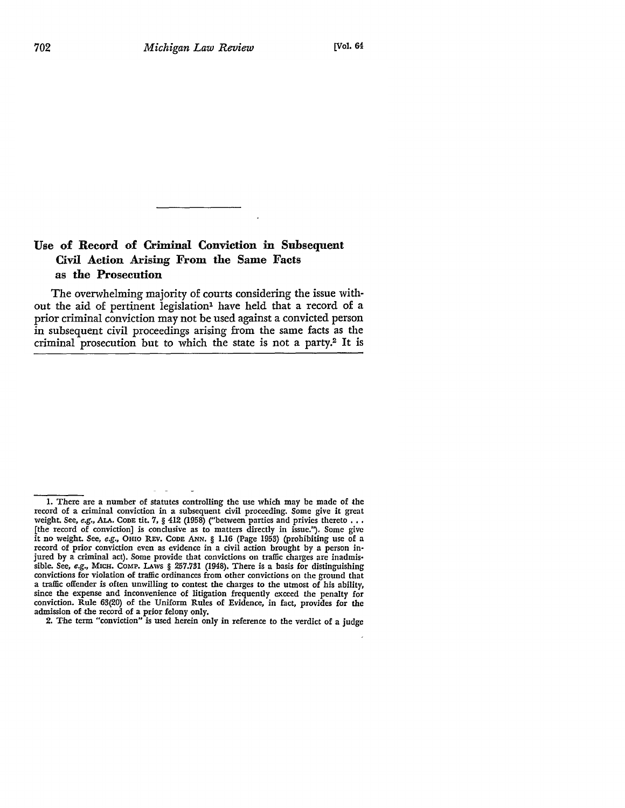### Use **of Record of Criminal Conviction in Subsequent Civil Action Arising From the Same Facts as the Prosecution**

The overwhelming majority of courts considering the issue without the aid of pertinent legislation' have held that a record of a prior criminal conviction may not be used against a convicted person in subsequent civil proceedings arising from the same facts as the criminal prosecution but to which the state is not a party.2 It is

2. The term "conviction" is used herein only in reference to the verdict of a **judge**

**<sup>1.</sup>** There are a number of statutes controlling the use which may be made of **the** record of a criminal conviction in a subsequent civil proceeding. Some give it great weight. See, e.g., **ALA.** CODE tit. **7,** § 412 **(1958)** ("between parties and privies thereto **...** [the record of conviction] is conclusive as to matters directly in issue.'). Some give it no weight. See, e.g., OHIO REv. **CODE ANN.** *§* **1.16** (Page **1953)** (prohibiting use of a record of prior conviction even as evidence in a civil action brought by a person injured by a criminal act). Some provide that convictions on traffic charges are inadmissible. See, **e.g.,** MICH. **CoMp.** LAws § **257.731** (1948). There is a basis for distinguishing convictions for violation of traffic ordinances from other convictions on the ground that a traffic offender is often unwilling to contest the charges to the utmost of his ability, since the expense and inconvenience of litigation frequently exceed the penalty for conviction. Rule **63(20)** of the Uniform Rules of Evidence, in fact, provides for the admission of the record of a prior felony only.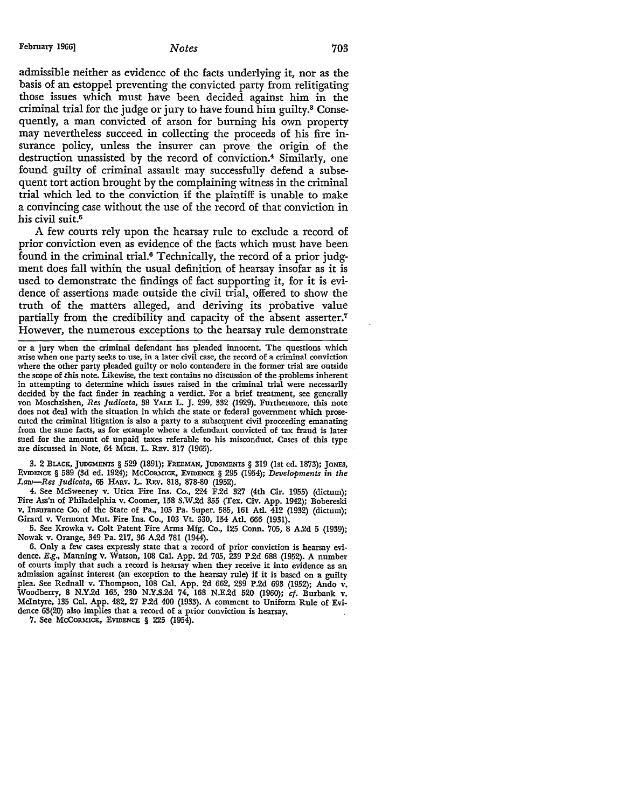#### *Notes*

admissible neither as evidence of the facts underlying it, nor as the basis of an estoppel preventing the convicted party from relitigating those issues which must have been decided against him in the criminal trial for the judge or jury to have found him guilty.3 Consequently, a man convicted of arson for burning his own property may nevertheless succeed in collecting the proceeds of his fire insurance policy, unless the insurer can prove the origin of the destruction unassisted by the record of conviction.<sup>4</sup> Similarly, one found guilty of criminal assault may successfully defend a subsequent tort action brought by the complaining witness in the criminal trial which led to the conviction if the plaintiff is unable to make a convincing case without the use of the record of that conviction in his civil suit.<sup>5</sup>

A few courts rely upon the hearsay rule to exclude a record of prior conviction even as evidence of the facts which must have been found in the criminal trial.6 Technically, the record of a prior judgment does fall within the usual definition of hearsay insofar as it is used to demonstrate the findings of fact supporting it, for it is evidence of assertions made outside the civil trial, offered to show the truth of the matters alleged, and deriving its probative value partially from the credibility and capacity of the absent asserter.7 However, the numerous exceptions to the hearsay rule demonstrate

or a jury when the criminal defendant has pleaded innocent. The questions which arise when one party seeks to use, in a later civil case, the record of a criminal conviction where the other party pleaded guilty or nolo contendere in the former trial are outside the scope of this note. Likewise, the text contains no discussion of the problems inherent in attempting to determine which issues raised in the criminal trial were necessarily decided by the fact finder in reaching a verdict. For a brief treatment, see generally von Moschzishen, *Res Judicata,* 38 YALE L. **J.** 299, 332 **(1929).** Furthermore, this note does not deal with the situation in which the state or federal government which prosecuted the criminal litigation is also a party to a subsequent civil proceeding emanating from the same facts, as for example where a defendant convicted of tax fraud is later sued for the amount of unpaid taxes referable to his misconduct. Cases of this type are discussed in Note, 64 MicH. L. REv. 317 (1965).

**3.** 2 **BLAcK, JUDGMENTS** § 529 (1891); **FREEMAN, JUDGMENTS** § 319 (lst ed. **1873); JoNES,** EvmENc:E § **589 (3d** ed. 1924); McCoRMICK, **EvmENc** § **295** (1954); *Developments in the* Law-Res Judicata, 65 HARV. L. REV. 818, 878-80 (1952).

4. See McSweeney v. Utica Fire Ins. Co., 224 **F.2d** 327 (4th Cir. 1955) (dictum); Fire Ass'n of Philadelphia v. Coomer, 158 S.W.2d 355 (Tex. Civ. App. 1942); Bobereski v. Insurance Co. of the State of Pa., 105 Pa. Super. 585, 161 At. 412 (1932) (dictum); Girard v. Vermont Mut. Fire Ins. Co., 103 Vt. 330, 154 Atl. 666 (1931).

5. See Krowka v. Colt Patent Fire Arms Mfg. Co., 125 Conn. 705, 8 **A.2d** 5 (1939); Nowak v. Orange, 349 Pa. 217, 36 **A.2d** 781 (1944).

6. Only a few cases expressly state that a record of prior conviction is hearsay evidence. E.g., Manning v. Watson, 108 Cal. App. 2d 705, 239 P.2d 688 (1952). A number of courts imply that such a record is hearsay when they receive it into evidence as an admission against interest (an exception to the hearsay rule) if it is based on a guilty plea. See Rednall v. Thompson, 108 Cal. App. 2d 662, 239 **P.2d** 693 (1952); Ando v. Woodberry, 8 N.Y.2d 165, 230 **N.Y.S.2d** 74, 168 N.E.2d **520** (1960); *cf.* Burbank v. McIntyre, 135 Cal. App. 482, 27 **P.2d** 400 (1933). A comment to Uniform Rule of Evidence 63(20) also implies that a record of a prior conviction is hearsay.

**7.** See McCoRmicK, EvmEcNc § **225** (1954).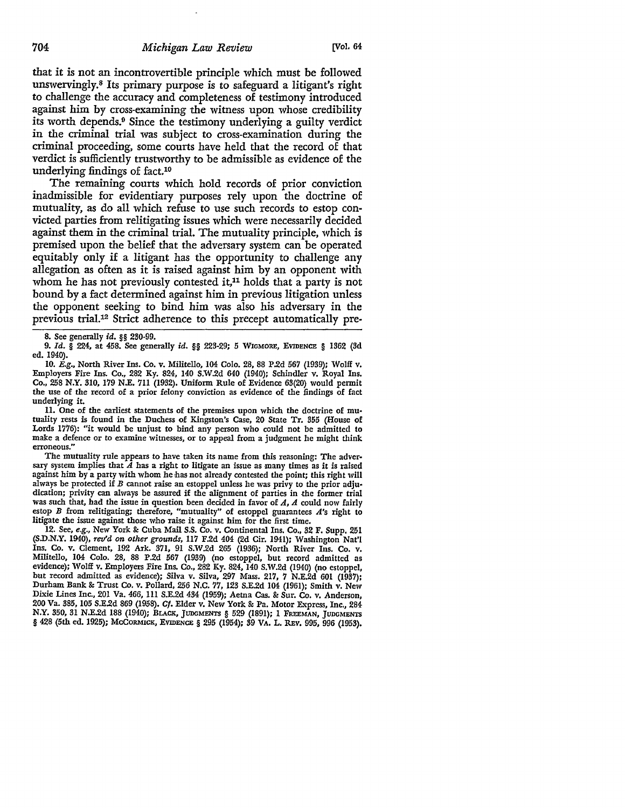that it is not an incontrovertible principle which must be followed unswervingly.<sup>8</sup> Its primary purpose is to safeguard a litigant's right to challenge the accuracy and completeness of testimony introduced against him by cross-examining the witness upon whose credibility its worth depends.9 Since the testimony underlying a guilty verdict in the criminal trial was subject to cross-examination during the criminal proceeding, some courts have held that the record of that verdict is sufficiently trustworthy to be admissible as evidence of the underlying findings of fact.10

The remaining courts which hold records of prior conviction inadmissible for evidentiary purposes rely upon the doctrine of mutuality, as do all which refuse to use such records to estop convicted parties from relitigating issues which were necessarily decided against them in the criminal trial. The mutuality principle, which is premised upon the belief that the adversary system can be operated equitably only if a litigant has the opportunity to challenge any allegation as often as it is raised against him by an opponent with whom he has not previously contested it, $11$  holds that a party is not bound by a fact determined against him in previous litigation unless the opponent seeking to bind him was also his adversary in the previous trial.<sup>12</sup> Strict adherence to this precept automatically pre-

11. One of the earliest statements of the premises upon which the doctrine of mu- tuality rests is found in the Duchess of Kingston's Case, 20 State Tr. **355** (House of Lords **1776):** "it would be unjust to bind any person who could not be admitted to make a defence or to examine witnesses, or to appeal from a judgment he might think erroneous.

The mutuality rule appears to have taken its name from this reasoning: The adversary system implies that  $A$  has a right to litigate an issue as many times as it is raised against him **by** a party with whom he has not already contested the point; this right will always be protected if  $B$  cannot raise an estoppel unless he was privy to the prior adjudication; privity can always be assured if the alignment of parties in the former trial was such that, had the issue in question bee estop *B* from relitigating; therefore, "mutuality" of estoppel guarantees *A's* right to litigate the issue against those who raise it against him for the first time.

12. See, *e.g.,* New York & Cuba Mail **S.S.** Co. v. Continental Ins. Co., **32** F. Supp. **251** (S.D.N.Y. **1940),** *rev'd on other grounds,* 117 **F.2d** 404 **(2d** Cir. 1941); Washington Nat'l Militello, 104 Colo. 28, 88 P.2d 567 (1939) (no estoppel, but record admitted as evidence); Wolff v. Employers Fire Ins. Co., 282 Ky. 824, 140 S.W.2d (1940) (no estoppel, but record admitted as evidence); Silva v. Silva, 2 Durham Bank & Trust Co. v. Pollard, 256 **N.C.** 77, **123** S.E.2d 104 (1961); Smith v. New Dixie Lines Inc., 201 Va. 466, **111** S.E.2d 434 (1959); Aetna Cas. **&** Sur. Co. v. Anderson, 200 Va. 385, **105 S.E.2d 869** (1958). *Cf.* Elder *v.* New York **&** Pa. Motor Express, Inc., 284 N.Y. **350, 31 N.E.2d 188** (1940); BLACK, **JUDGMEN"S** *§* **529 (1891); 1** FREEMAN, **JUDGMENTs** § 428 (5th **ed. 1925);** McCoansiCK, **EVIDENcE** *§* **295** (1954); **39** VA. L. **REv. 995, 996 (1953).**

**<sup>8.</sup>** See generally *id. §§* 230-99.

**<sup>9.</sup>** *Id.* § 224, at 458. See generally *id. §§* 223-29; **5** WIoMoRE, **EVIDENCE** *§* 1362 **(3d ed.** 1940).

*<sup>10.</sup> E.g.,* North River Ins. Co. v. Militello, 104 Colo. 28, 88 **P.2d 567** (1939); Wolff v. Employers Fire Ins. Co., 282 Ky. 824, 140 S.W.2d 640 (1940); Schindler v. Royal Ins. Co., **258** N.Y. **310, 179 N.E. 711** (1932). Uniform Rule of Evidence 63(20) would permit the use of the record of a prior felony conviction as evidence of the findings of fact underlying it.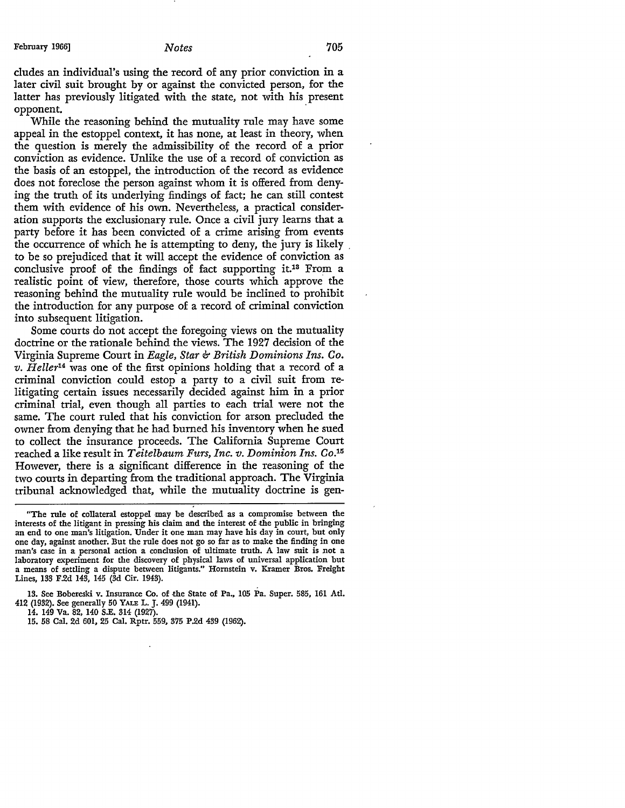cludes an individual's using the record of any prior conviction in a later civil suit brought by or against the convicted person, for the latter has previously litigated with the state, not with his present opponent.

While the reasoning behind the mutuality rule may have some appeal in the estoppel context, it has none, at least in theory, when the question is merely the admissibility of the record of a prior conviction as evidence. Unlike the use of a record of conviction as the basis of an estoppel, the introduction of the record as evidence does not foreclose the person against whom it is offered from denying the truth of its underlying findings of fact; he can still contest them with evidence of his own. Nevertheless, a practical consideration supports the exclusionary rule. Once a civil jury learns that a party before it has been convicted of a crime arising from events the occurrence of which he is attempting to deny, the jury is likely to be so prejudiced that it will accept the evidence of conviction as conclusive proof of the findings of fact supporting it.13 From a realistic point of view, therefore, those courts which approve the reasoning behind the mutuality rule would be inclined to prohibit the introduction for any purpose of a record of criminal conviction into subsequent litigation.

Some courts do not accept the foregoing views on the mutuality doctrine or the rationale behind the views. The 1927 decision of the Virginia Supreme Court in *Eagle, Star & British Dominions Ins. Co. v. Heller*<sup>14</sup> was one of the first opinions holding that a record of a criminal conviction could estop a party to a civil suit from relitigating certain issues necessarily decided against him in a prior criminal trial, even though all parties to each trial were not the same. The court ruled that his conviction for arson precluded the owner from denying that he had burned his inventory when he sued to collect the insurance proceeds. The California Supreme Court reached a like result in *Teitelbaum Furs, Inc. v. Dominion Ins. Co.15* However, there is a significant difference in the reasoning of the two courts in departing from the traditional approach. The Virginia tribunal acknowledged that, while the mutuality doctrine is gen-

13. See Bobereski v. Insurance Co. of the State of Pa., 105 Pa. Super. 585, 161 Atl. 412 **(1932).** See generally 50 YALE L. **J.** 499 (1941).

14. 149 Va. 82, 140 S.E. 314 (1927).

**15. 58** Cal. **2d** 601, **25** Cal. Rptr. 559, **375 P.2d** 439 **(1962).**

<sup>&</sup>quot;The rule of collateral estoppel may be described as a compromise between the interests of the litigant in pressing his claim and the interest of the public in bringing an end to one man's litigation. Under it one man may have his day in court, but only one day, against another. But the rule does not go so far as to make the finding in one man's case in a personal action a conclusion of ultimate truth. A law suit is not a laboratory experiment for the discovery of physical laws of universal application but a means of settling a dispute between litigants." Hornstein v. Kramer Bros. Freight Lines, **133** F.2d 143, 145 **(3d** Cir. 1943).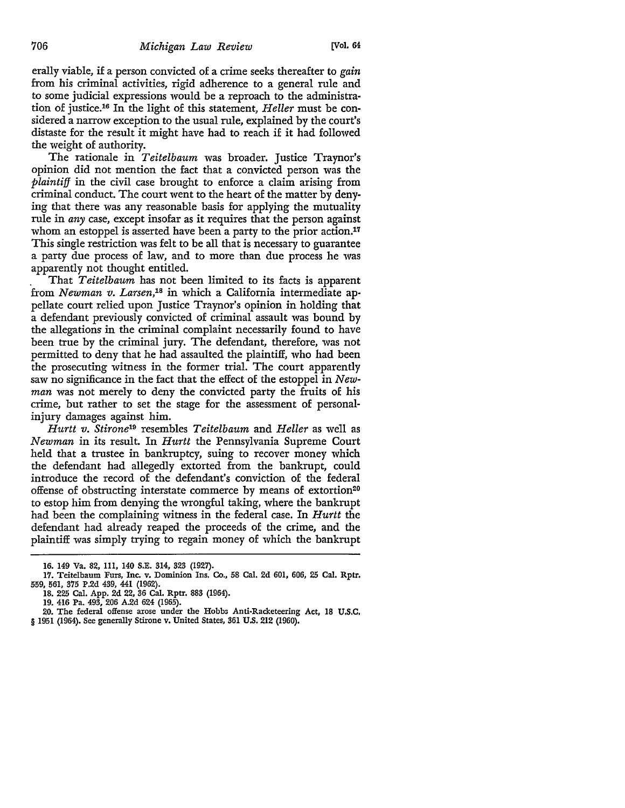erally viable, if a person convicted of a crime seeks thereafter to *gain* from his criminal activities, rigid adherence to a general rule and to some judicial expressions would be a reproach to the administration of justice.<sup>16</sup> In the light of this statement, *Heller* must be considered a narrow exception to the usual rule, explained by the court's distaste for the result it might have had to reach if it had followed the weight of authority.

The rationale in *Teitelbaum* was broader. Justice Traynor's opinion did not mention the fact that a convicted person was the *plaintiff* in the civil case brought to enforce a claim arising from criminal conduct. The court went to the heart of the matter by denying that there was any reasonable basis for applying the mutuality rule in *any* case, except insofar as it requires that the person against whom an estoppel is asserted have been a party to the prior action.<sup>17</sup> This single restriction was felt to be all that is necessary to guarantee a party due process of law, and to more than due process he was apparently not thought entitled.

That *Teitelbaum* has not been limited to its facts is apparent from *Newman v. Larsen*,<sup>18</sup> in which a California intermediate appellate court relied upon Justice Traynor's opinion in holding that a defendant previously convicted of criminal assault was bound by the allegations in the criminal complaint necessarily found to have been true by the criminal jury. The defendant, therefore, was not permitted to deny that he had assaulted the plaintiff, who had been the prosecuting witness in the former trial. The court apparently saw no significance in the fact that the effect of the estoppel in *Newman* was not merely to deny the convicted party the fruits of his crime, but rather to set the stage for the assessment of personalinjury damages against him.

*Hurtt v. Stirone9* resembles *Teitelbaum* and *Heller* as well as *Newman* in its result. In *Hurtt* the Pennsylvania Supreme Court held that a trustee in bankruptcy, suing to recover money which the defendant had allegedly extorted from the bankrupt, could introduce the record of the defendant's conviction of the federal offense of obstructing interstate commerce by means of extortion<sup>20</sup> to estop him from denying the wrongful taking, where the bankrupt had been the complaining witness in the federal case. In *Hurtt* the defendant had already reaped the proceeds of the crime, and the plaintiff was simply trying to regain money of which the bankrupt

- 20. The federal offense arose under the Hobbs Anti-Racketeering Act, **18** U.S.C.
- § 1951 (1964). See generally Stirone v. United States, **361** U.S. 212 (1960).

**<sup>16.</sup>** 149 Va. 82, **111,** 140 S.E. 314, 323 (1927).

**<sup>17.</sup>** Teitelbaum Furs, Inc. v. Dominion Ins. Co., 58 Cal. 2d 601, 606, 25 Cal. Rptr. 559, **561, 375 P.2d** 439, 441 **(1962).** 18. **225** Cal. **App. 2d** 22, **36** Cal. Rptr. 883 (1964).

<sup>19. 416</sup> Pa. 493, **206** A.2d 624 **(1965).**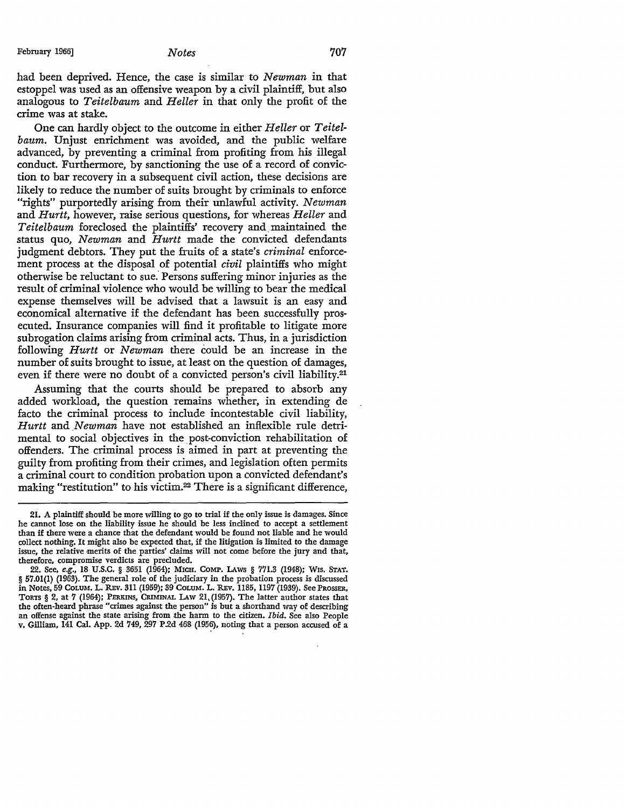had been deprived. Hence, the case is similar to *Newman* in that estoppel was used as an offensive weapon by a civil plaintiff, but also analogous to *Teitelbaum and Heller* in that only the profit of the crime was at stake.

One can hardly object to the outcome in either *Heller* or *Teitelbaum.* Unjust enrichment was avoided, and the public welfare advanced, by preventing a criminal from profiting from his illegal conduct. Furthermore, by sanctioning the use of a record of conviction to bar recovery in a subsequent civil action, these decisions are likely to reduce the number of suits brought by criminals to enforce "rights" purportedly arising from their unlawful activity. *Newman* and *Hurtt,* however, raise serious questions, for whereas *Heller* and *Teitelbaum* foreclosed the plaintiffs' recovery and maintained the status quo, *Newman* and *Hurtt* made the convicted defendants judgment debtors. They put the fruits of a state's *criminal* enforcement process at the disposal of potential *civil* plaintiffs who might otherwise be reluctant to sue. Persons suffering minor injuries as the result of criminal violence who would be willing to bear the medical expense themselves will be advised that a lawsuit is an easy and economical alternative if the defendant has been successfully prosecuted. Insurance companies will find it profitable to litigate more subrogation claims arising from criminal acts. Thus, in a jurisdiction following *Hurtt* or *Newman* there could be an increase in the number of suits brought to issue, at least on the question of damages, even if there were no doubt of a convicted person's civil liability.21

Assuming that the courts should be prepared to absorb any added workload, the question remains whether, in extending de facto the criminal process to include incontestable civil liability, *Hurtt* and *Newman* have not established an inflexible rule detrimental to social objectives in the post-conviction rehabilitation of offenders. The criminal process is aimed in part at preventing the guilty from profiting from their crimes, and legislation often permits a criminal court to condition probation upon a convicted defendant's making "restitution" to his victim. 22 There is a significant difference,

<sup>21.</sup> A plaintiff should be more willing to go to trial if the only issue is damages. Since he cannot lose on the liability issue he should be less inclined to accept a settlement than if there were a chance that the defendant would be found not liable and he would collect nothing. It might also be expected that, if the litigation is limited to the damage issue, the relative merits of the parties' claims will not come before the jury and that, therefore, compromise verdicts are precluded.

<sup>22.</sup> See, *e.g.,* 18 **U.S.C.** § **3651** (1964); MicH. CoMP. LAws § **771.3** (1948); Wis. **STAT.** § 57.01(1) (1963). The general role of the judiciary in the probation process is discussed in Notes, **59 CoLUM.** L. Rxv. **311** (1959); 39 **COLum.** L. REv. 1185, 1197 (1939). See PROssER, **TORTs** § 2, at **7** (1964); **PERKINS, CRImINAL** LAw **21,** (1957). The latter author states that the often-heard phrase "crimes against the person" is but a shorthand way of describing an offense against the state arising from the harm to the citizen. *Ibid.* See also People v. Gilliam, 141 Cal. App. **2d** 749, 297 P.2d 468 **(1956),** noting that a person accused of a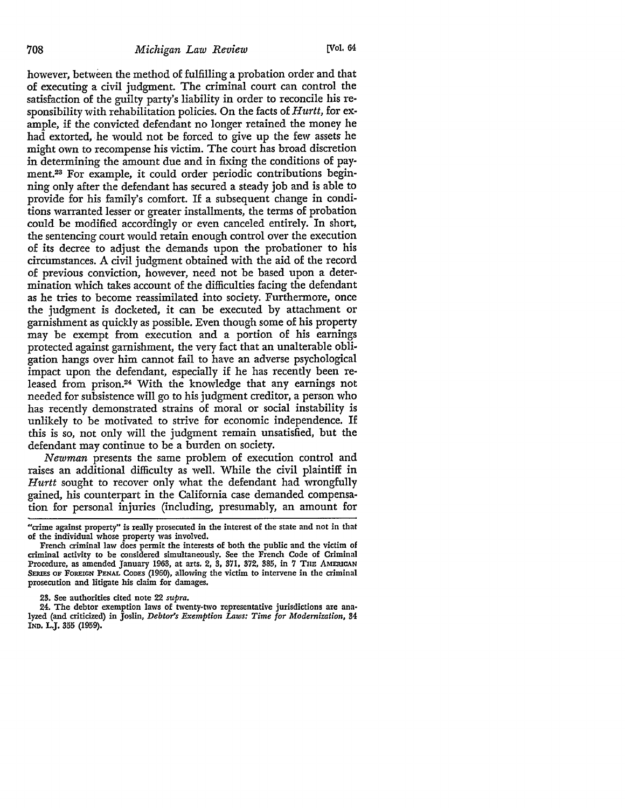however, between the method of fulfilling a probation order and that of executing a civil judgment. The criminal court can control the satisfaction of the guilty party's liability in order to reconcile his responsibility with rehabilitation policies. On the facts of *Hurtt,* for example, if the convicted defendant no longer retained the money he had extorted, he would not be forced to give up the few assets he might own to recompense his victim. The court has broad discretion in determining the amount due and in fixing the conditions of payment.23 For example, it could order periodic contributions beginning only after the defendant has secured a steady **job** and is able to provide for his family's comfort. If a subsequent change in conditions warranted lesser or greater installments, the terms of probation could be modified accordingly or even canceled entirely. In short, the sentencing court would retain enough control over the execution of its decree to adjust the demands upon the probationer to his circumstances. A civil judgment obtained with the aid of the record of previous conviction, however, need not be based upon a determination which takes account of the difficulties facing the defendant as he tries to become reassimilated into society. Furthermore, once the judgment is docketed, it can be executed by attachment or garnishment as quickly as possible. Even though some of his property may be exempt from execution and a portion of his earnings protected against garnishment, the very fact that an unalterable obligation hangs over him cannot fail to have an adverse psychological impact upon the defendant, especially if he has recently been released from prison.24 With the knowledge that any earnings not needed for subsistence will go to his judgment creditor, a person who has recently demonstrated strains of moral or social instability is unlikely to be motivated to strive for economic independence. If this is so, not only will the judgment remain unsatisfied, but the defendant may continue to be a burden on society.

*Newman* presents the same problem of execution control and raises an additional difficulty as well. While the civil plaintiff in *Hurtt* sought to recover only what the defendant had wrongfully gained, his counterpart in the California case demanded compensation for personal injuries (including, presumably, an amount for

<sup>&</sup>quot;crime against property" is really prosecuted in the interest of the state and not in that of the individual whose property was involved.

French criminal law does permit the interests of both the public and the victim of criminal activity to be considered simultaneously. See the French Code of Criminal Procedure, as amended January **1963,** at arts. 2, **3,** 871, 872, **885,** in **7 THE AMERICAN** SERIES OF FOREIGN PENAL CODES (1960), allowing the victim to intervene in the criminal prosecution and litigate his claim for damages.

<sup>28.</sup> See authorities cited note 22 *supra.*

<sup>24.</sup> The debtor exemption laws of twenty-two representative jurisdictions are analyzed (and criticized) in Joslin, *Debtor's Exemption Laws: Time for Modernization, 34* **IND.** L.J. **355 (1959).**